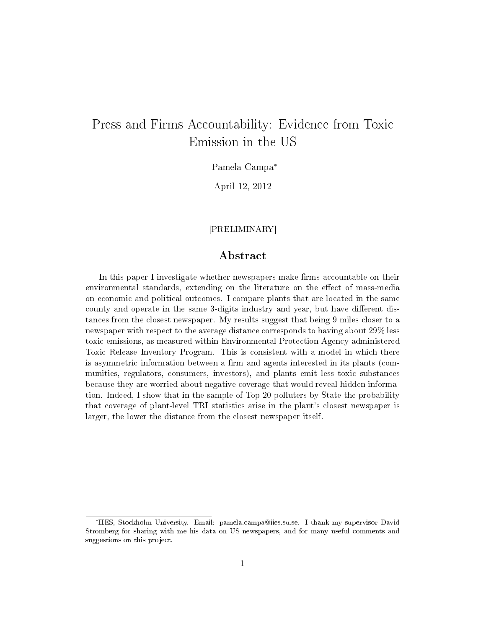## Press and Firms Accountability: Evidence from Toxic Emission in the US

Pamela Campa<sup>∗</sup>

April 12, 2012

## [PRELIMINARY]

## Abstract

In this paper I investigate whether newspapers make firms accountable on their environmental standards, extending on the literature on the effect of mass-media on economic and political outcomes. I compare plants that are located in the same county and operate in the same 3-digits industry and year, but have different distances from the closest newspaper. My results suggest that being 9 miles closer to a newspaper with respect to the average distance corresponds to having about 29% less toxic emissions, as measured within Environmental Protection Agency administered Toxic Release Inventory Program. This is consistent with a model in which there is asymmetric information between a firm and agents interested in its plants (communities, regulators, consumers, investors), and plants emit less toxic substances because they are worried about negative coverage that would reveal hidden information. Indeed, I show that in the sample of Top 20 polluters by State the probability that coverage of plant-level TRI statistics arise in the plant's closest newspaper is larger, the lower the distance from the closest newspaper itself.

<sup>∗</sup> IIES, Stockholm University. Email: pamela.campa@iies.su.se. I thank my supervisor David Stromberg for sharing with me his data on US newspapers, and for many useful comments and suggestions on this project.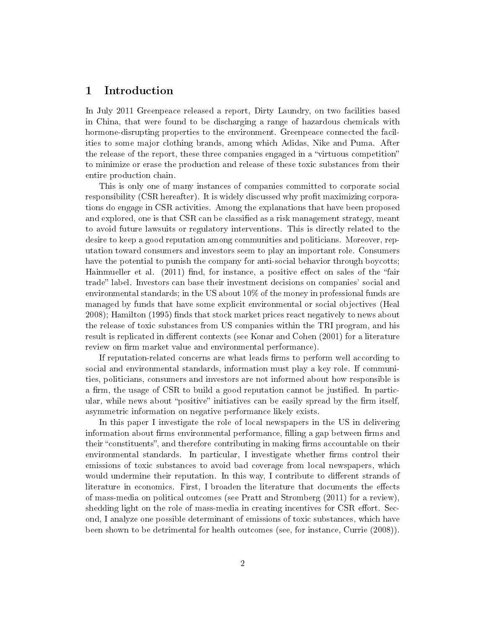## 1 Introduction

In July 2011 Greenpeace released a report, Dirty Laundry, on two facilities based in China, that were found to be discharging a range of hazardous chemicals with hormone-disrupting properties to the environment. Greenpeace connected the facilities to some major clothing brands, among which Adidas, Nike and Puma. After the release of the report, these three companies engaged in a "virtuous competition" to minimize or erase the production and release of these toxic substances from their entire production chain.

This is only one of many instances of companies committed to corporate social responsibility (CSR hereafter). It is widely discussed why profit maximizing corporations do engage in CSR activities. Among the explanations that have been proposed and explored, one is that CSR can be classified as a risk management strategy, meant to avoid future lawsuits or regulatory interventions. This is directly related to the desire to keep a good reputation among communities and politicians. Moreover, reputation toward consumers and investors seem to play an important role. Consumers have the potential to punish the company for anti-social behavior through boycotts; Hainmueller et al.  $(2011)$  find, for instance, a positive effect on sales of the "fair trade" label. Investors can base their investment decisions on companies' social and environmental standards; in the US about 10% of the money in professional funds are managed by funds that have some explicit environmental or social objectives (Heal 2008); Hamilton (1995) finds that stock market prices react negatively to news about the release of toxic substances from US companies within the TRI program, and his result is replicated in different contexts (see Konar and Cohen (2001) for a literature review on firm market value and environmental performance).

If reputation-related concerns are what leads firms to perform well according to social and environmental standards, information must play a key role. If communities, politicians, consumers and investors are not informed about how responsible is a firm, the usage of CSR to build a good reputation cannot be justified. In particular, while news about "positive" initiatives can be easily spread by the firm itself, asymmetric information on negative performance likely exists.

In this paper I investigate the role of local newspapers in the US in delivering information about firms environmental performance, filling a gap between firms and their "constituents", and therefore contributing in making firms accountable on their environmental standards. In particular, I investigate whether firms control their emissions of toxic substances to avoid bad coverage from local newspapers, which would undermine their reputation. In this way, I contribute to different strands of literature in economics. First, I broaden the literature that documents the effects of mass-media on political outcomes (see Pratt and Stromberg (2011) for a review), shedding light on the role of mass-media in creating incentives for CSR effort. Second, I analyze one possible determinant of emissions of toxic substances, which have been shown to be detrimental for health outcomes (see, for instance, Currie (2008)).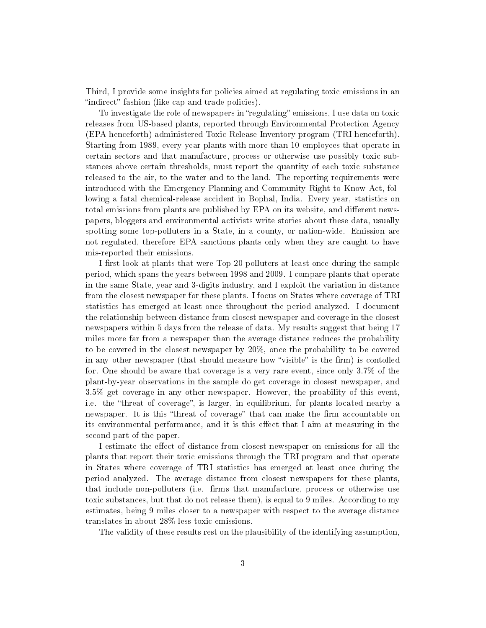Third, I provide some insights for policies aimed at regulating toxic emissions in an "indirect" fashion (like cap and trade policies).

To investigate the role of newspapers in "regulating" emissions, I use data on toxic releases from US-based plants, reported through Environmental Protection Agency (EPA henceforth) administered Toxic Release Inventory program (TRI henceforth). Starting from 1989, every year plants with more than 10 employees that operate in certain sectors and that manufacture, process or otherwise use possibly toxic substances above certain thresholds, must report the quantity of each toxic substance released to the air, to the water and to the land. The reporting requirements were introduced with the Emergency Planning and Community Right to Know Act, following a fatal chemical-release accident in Bophal, India. Every year, statistics on total emissions from plants are published by EPA on its website, and different newspapers, bloggers and environmental activists write stories about these data, usually spotting some top-polluters in a State, in a county, or nation-wide. Emission are not regulated, therefore EPA sanctions plants only when they are caught to have mis-reported their emissions.

I first look at plants that were Top 20 polluters at least once during the sample period, which spans the years between 1998 and 2009. I compare plants that operate in the same State, year and 3-digits industry, and I exploit the variation in distance from the closest newspaper for these plants. I focus on States where coverage of TRI statistics has emerged at least once throughout the period analyzed. I document the relationship between distance from closest newspaper and coverage in the closest newspapers within 5 days from the release of data. My results suggest that being 17 miles more far from a newspaper than the average distance reduces the probability to be covered in the closest newspaper by 20%, once the probability to be covered in any other newspaper (that should measure how "visible" is the firm) is contolled for. One should be aware that coverage is a very rare event, since only 3.7% of the plant-by-year observations in the sample do get coverage in closest newspaper, and 3.5% get coverage in any other newspaper. However, the proability of this event, i.e. the "threat of coverage", is larger, in equilibrium, for plants located nearby a newspaper. It is this "threat of coverage" that can make the firm accountable on its environmental performance, and it is this effect that I aim at measuring in the second part of the paper.

I estimate the effect of distance from closest newspaper on emissions for all the plants that report their toxic emissions through the TRI program and that operate in States where coverage of TRI statistics has emerged at least once during the period analyzed. The average distance from closest newspapers for these plants, that include non-polluters (i.e. firms that manufacture, process or otherwise use toxic substances, but that do not release them), is equal to 9 miles. According to my estimates, being 9 miles closer to a newspaper with respect to the average distance translates in about 28% less toxic emissions.

The validity of these results rest on the plausibility of the identifying assumption,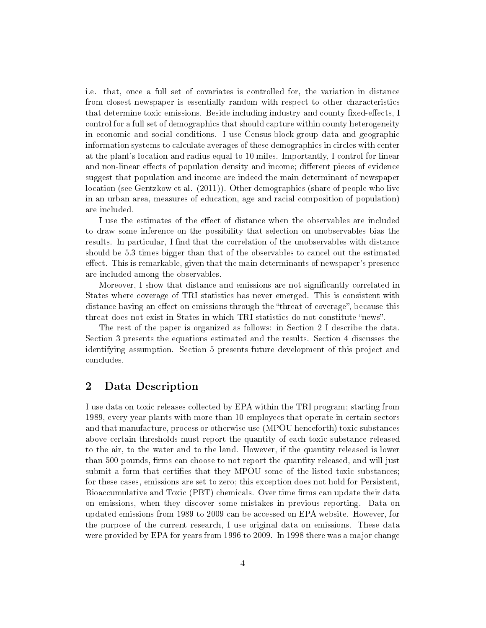i.e. that, once a full set of covariates is controlled for, the variation in distance from closest newspaper is essentially random with respect to other characteristics that determine toxic emissions. Beside including industry and county fixed-effects, I control for a full set of demographics that should capture within county heterogeneity in economic and social conditions. I use Census-block-group data and geographic information systems to calculate averages of these demographics in circles with center at the plant's location and radius equal to 10 miles. Importantly, I control for linear and non-linear effects of population density and income; different pieces of evidence suggest that population and income are indeed the main determinant of newspaper location (see Gentzkow et al. (2011)). Other demographics (share of people who live in an urban area, measures of education, age and racial composition of population) are included.

I use the estimates of the effect of distance when the observables are included to draw some inference on the possibility that selection on unobservables bias the results. In particular, I find that the correlation of the unobservables with distance should be 5.3 times bigger than that of the observables to cancel out the estimated effect. This is remarkable, given that the main determinants of newspaper's presence are included among the observables.

Moreover, I show that distance and emissions are not signicantly correlated in States where coverage of TRI statistics has never emerged. This is consistent with distance having an effect on emissions through the "threat of coverage", because this threat does not exist in States in which TRI statistics do not constitute "news".

The rest of the paper is organized as follows: in Section 2 I describe the data. Section 3 presents the equations estimated and the results. Section 4 discusses the identifying assumption. Section 5 presents future development of this project and concludes.

## 2 Data Description

I use data on toxic releases collected by EPA within the TRI program; starting from 1989, every year plants with more than 10 employees that operate in certain sectors and that manufacture, process or otherwise use (MPOU henceforth) toxic substances above certain thresholds must report the quantity of each toxic substance released to the air, to the water and to the land. However, if the quantity released is lower than 500 pounds, firms can choose to not report the quantity released, and will just submit a form that certifies that they MPOU some of the listed toxic substances; for these cases, emissions are set to zero; this exception does not hold for Persistent, Bioaccumulative and Toxic (PBT) chemicals. Over time firms can update their data on emissions, when they discover some mistakes in previous reporting. Data on updated emissions from 1989 to 2009 can be accessed on EPA website. However, for the purpose of the current research, I use original data on emissions. These data were provided by EPA for years from 1996 to 2009. In 1998 there was a major change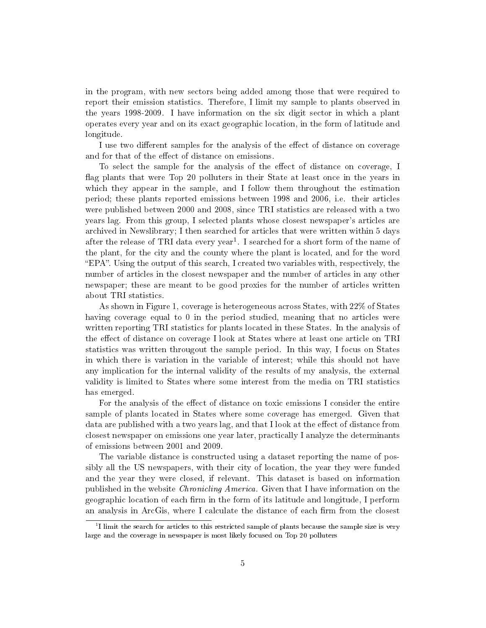in the program, with new sectors being added among those that were required to report their emission statistics. Therefore, I limit my sample to plants observed in the years 1998-2009. I have information on the six digit sector in which a plant operates every year and on its exact geographic location, in the form of latitude and longitude.

I use two different samples for the analysis of the effect of distance on coverage and for that of the effect of distance on emissions.

To select the sample for the analysis of the effect of distance on coverage, I flag plants that were Top 20 polluters in their State at least once in the years in which they appear in the sample, and I follow them throughout the estimation period; these plants reported emissions between 1998 and 2006, i.e. their articles were published between 2000 and 2008, since TRI statistics are released with a two years lag. From this group, I selected plants whose closest newspaper's articles are archived in Newslibrary; I then searched for articles that were written within 5 days after the release of TRI data every year<sup>1</sup>. I searched for a short form of the name of the plant, for the city and the county where the plant is located, and for the word EPA. Using the output of this search, I created two variables with, respectively, the number of articles in the closest newspaper and the number of articles in any other newspaper; these are meant to be good proxies for the number of articles written about TRI statistics.

As shown in Figure 1, coverage is heterogeneous across States, with 22% of States having coverage equal to 0 in the period studied, meaning that no articles were written reporting TRI statistics for plants located in these States. In the analysis of the effect of distance on coverage I look at States where at least one article on TRI statistics was written througout the sample period. In this way, I focus on States in which there is variation in the variable of interest; while this should not have any implication for the internal validity of the results of my analysis, the external validity is limited to States where some interest from the media on TRI statistics has emerged.

For the analysis of the effect of distance on toxic emissions I consider the entire sample of plants located in States where some coverage has emerged. Given that data are published with a two years lag, and that I look at the effect of distance from closest newspaper on emissions one year later, practically I analyze the determinants of emissions between 2001 and 2009.

The variable distance is constructed using a dataset reporting the name of possibly all the US newspapers, with their city of location, the year they were funded and the year they were closed, if relevant. This dataset is based on information published in the website Chronicling America. Given that I have information on the geographic location of each firm in the form of its latitude and longitude, I perform an analysis in ArcGis, where I calculate the distance of each firm from the closest

 $1$ I limit the search for articles to this restricted sample of plants because the sample size is very large and the coverage in newspaper is most likely focused on Top 20 polluters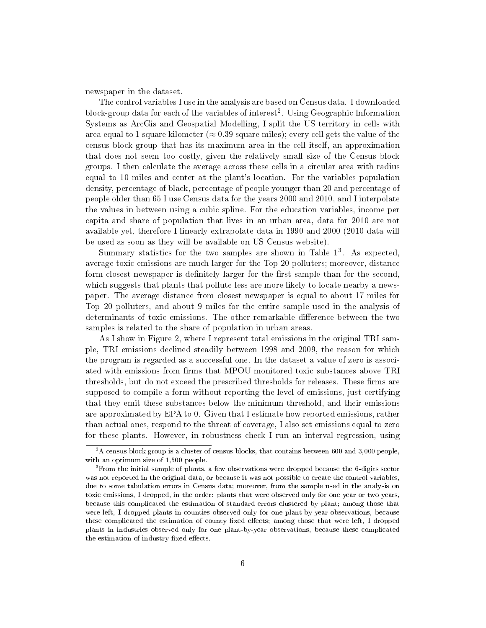newspaper in the dataset.

The control variables I use in the analysis are based on Census data. I downloaded block-group data for each of the variables of interest<sup>2</sup>. Using Geographic Information Systems as ArcGis and Geospatial Modelling, I split the US territory in cells with area equal to 1 square kilometer ( $\approx 0.39$  square miles); every cell gets the value of the census block group that has its maximum area in the cell itself, an approximation that does not seem too costly, given the relatively small size of the Census block groups. I then calculate the average across these cells in a circular area with radius equal to 10 miles and center at the plant's location. For the variables population density, percentage of black, percentage of people younger than 20 and percentage of people older than 65 I use Census data for the years 2000 and 2010, and I interpolate the values in between using a cubic spline. For the education variables, income per capita and share of population that lives in an urban area, data for 2010 are not available yet, therefore I linearly extrapolate data in 1990 and 2000 (2010 data will be used as soon as they will be available on US Census website).

Summary statistics for the two samples are shown in Table  $1^3$ . As expected, average toxic emissions are much larger for the Top 20 polluters; moreover, distance form closest newspaper is definitely larger for the first sample than for the second, which suggests that plants that pollute less are more likely to locate nearby a newspaper. The average distance from closest newspaper is equal to about 17 miles for Top 20 polluters, and about 9 miles for the entire sample used in the analysis of determinants of toxic emissions. The other remarkable difference between the two samples is related to the share of population in urban areas.

As I show in Figure 2, where I represent total emissions in the original TRI sample, TRI emissions declined steadily between 1998 and 2009, the reason for which the program is regarded as a successful one. In the dataset a value of zero is associated with emissions from firms that MPOU monitored toxic substances above TRI thresholds, but do not exceed the prescribed thresholds for releases. These firms are supposed to compile a form without reporting the level of emissions, just certifying that they emit these substances below the minimum threshold, and their emissions are approximated by EPA to 0. Given that I estimate how reported emissions, rather than actual ones, respond to the threat of coverage, I also set emissions equal to zero for these plants. However, in robustness check I run an interval regression, using

 $2A$  census block group is a cluster of census blocks, that contains between 600 and 3,000 people, with an optimum size of 1,500 people.

<sup>&</sup>lt;sup>3</sup>From the initial sample of plants, a few observations were dropped because the 6-digits sector was not reported in the original data, or because it was not possible to create the control variables, due to some tabulation errors in Census data; moreover, from the sample used in the analysis on toxic emissions, I dropped, in the order: plants that were observed only for one year or two years, because this complicated the estimation of standard errors clustered by plant; among those that were left, I dropped plants in counties observed only for one plant-by-year observations, because these complicated the estimation of county fixed effects; among those that were left, I dropped plants in industries observed only for one plant-by-year observations, because these complicated the estimation of industry fixed effects.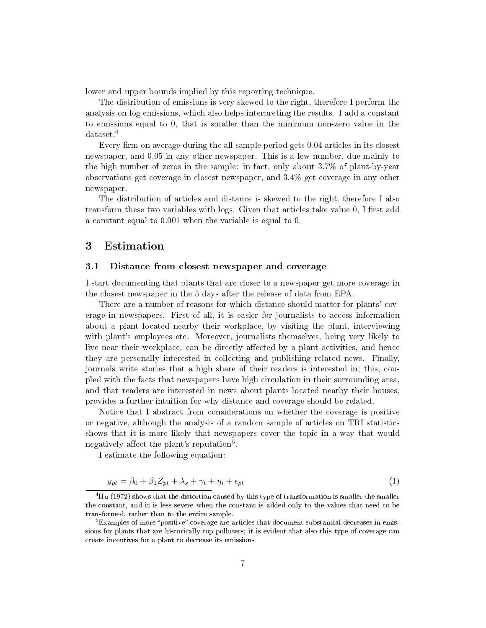lower and upper bounds implied by this reporting technique.

The distribution of emissions is very skewed to the right, therefore I perform the analysis on log emissions, which also helps interpreting the results. I add a constant to emissions equal to 0, that is smaller than the minimum non-zero value in the dataset.<sup>4</sup>

Every firm on average during the all sample period gets  $0.04$  articles in its closest newspaper, and 0.05 in any other newspaper. This is a low number, due mainly to the high number of zeros in the sample: in fact, only about 3.7% of plant-by-year observations get coverage in closest newspaper, and 3.4% get coverage in any other newspaper.

The distribution of articles and distance is skewed to the right, therefore I also transform these two variables with logs. Given that articles take value  $0, I$  first add a constant equal to 0.001 when the variable is equal to 0.

## 3 Estimation

#### 3.1 Distance from closest newspaper and coverage

I start documenting that plants that are closer to a newspaper get more coverage in the closest newspaper in the 5 days after the release of data from EPA.

There are a number of reasons for which distance should matter for plants' coverage in newspapers. First of all, it is easier for journalists to access information about a plant located nearby their workplace, by visiting the plant, interviewing with plant's employees etc. Moreover, journalists themselves, being very likely to live near their workplace, can be directly affected by a plant activities, and hence they are personally interested in collecting and publishing related news. Finally, journals write stories that a high share of their readers is interested in; this, coupled with the facts that newspapers have high circulation in their surrounding area, and that readers are interested in news about plants located nearby their houses, provides a further intuition for why distance and coverage should be related.

Notice that I abstract from considerations on whether the coverage is positive or negative, although the analysis of a random sample of articles on TRI statistics shows that it is more likely that newspapers cover the topic in a way that would negatively affect the plant's reputation<sup>5</sup>.

I estimate the following equation:

$$
y_{pt} = \beta_0 + \beta_1 Z_{pt} + \lambda_s + \gamma_t + \eta_i + \epsilon_{pt} \tag{1}
$$

<sup>4</sup>Hu (1972) shows that the distortion caused by this type of transformation is smaller the smaller the constant, and it is less severe when the constant is added only to the values that need to be transformed, rather than to the entire sample.

 ${}^{\circ}$ Examples of more "positive" coverage are articles that document substantial decreases in emissions for plants that are historically top polluters; it is evident that also this type of coverage can create incentives for a plant to decrease its emissions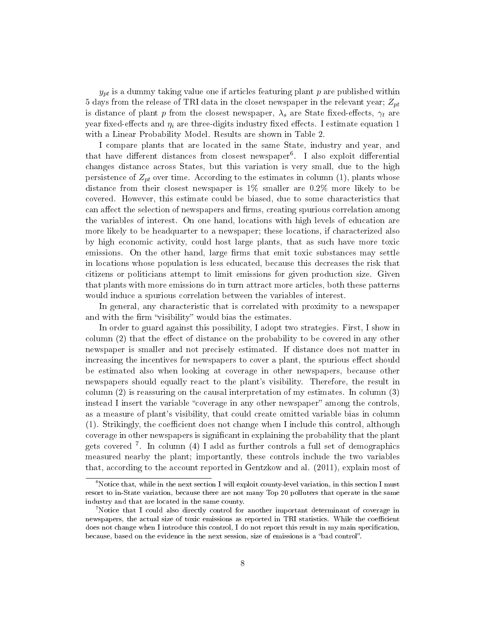$y_{pt}$  is a dummy taking value one if articles featuring plant p are published within 5 days from the release of TRI data in the closet newspaper in the relevant year;  $Z_{pt}$ is distance of plant p from the closest newspaper,  $\lambda_s$  are State fixed-effects,  $\gamma_t$  are year fixed-effects and  $\eta_i$  are three-digits industry fixed effects. I estimate equation 1 with a Linear Probability Model. Results are shown in Table 2.

I compare plants that are located in the same State, industry and year, and that have different distances from closest newspaper<sup>6</sup>. I also exploit differential changes distance across States, but this variation is very small, due to the high persistence of  $Z_{pt}$  over time. According to the estimates in column (1), plants whose distance from their closest newspaper is 1% smaller are 0.2% more likely to be covered. However, this estimate could be biased, due to some characteristics that can affect the selection of newspapers and firms, creating spurious correlation among the variables of interest. On one hand, locations with high levels of education are more likely to be headquarter to a newspaper; these locations, if characterized also by high economic activity, could host large plants, that as such have more toxic emissions. On the other hand, large firms that emit toxic substances may settle in locations whose population is less educated, because this decreases the risk that citizens or politicians attempt to limit emissions for given production size. Given that plants with more emissions do in turn attract more articles, both these patterns would induce a spurious correlation between the variables of interest.

In general, any characteristic that is correlated with proximity to a newspaper and with the firm "visibility" would bias the estimates.

In order to guard against this possibility, I adopt two strategies. First, I show in column  $(2)$  that the effect of distance on the probability to be covered in any other newspaper is smaller and not precisely estimated. If distance does not matter in increasing the incentives for newspapers to cover a plant, the spurious effect should be estimated also when looking at coverage in other newspapers, because other newspapers should equally react to the plant's visibility. Therefore, the result in column (2) is reassuring on the causal interpretation of my estimates. In column (3) instead I insert the variable "coverage in any other newspaper" among the controls, as a measure of plant's visibility, that could create omitted variable bias in column  $(1)$ . Strikingly, the coefficient does not change when I include this control, although coverage in other newspapers is signicant in explaining the probability that the plant gets covered <sup>7</sup> . In column (4) I add as further controls a full set of demographics measured nearby the plant; importantly, these controls include the two variables that, according to the account reported in Gentzkow and al. (2011), explain most of

 $6$ Notice that, while in the next section I will exploit county-level variation, in this section I must resort to in-State variation, because there are not many Top 20 polluters that operate in the same industry and that are located in the same county.

<sup>7</sup>Notice that I could also directly control for another important determinant of coverage in newspapers, the actual size of toxic emissions as reported in TRI statistics. While the coefficient does not change when I introduce this control, I do not report this result in my main specification, because, based on the evidence in the next session, size of emissions is a "bad control".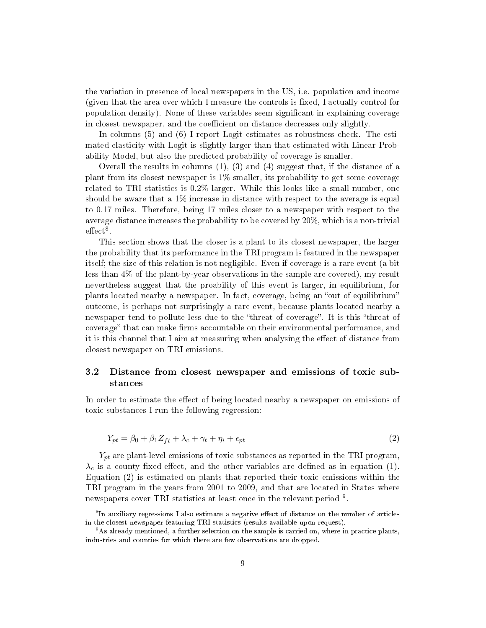the variation in presence of local newspapers in the US, i.e. population and income (given that the area over which I measure the controls is fixed, I actually control for population density). None of these variables seem signicant in explaining coverage in closest newspaper, and the coefficient on distance decreases only slightly.

In columns (5) and (6) I report Logit estimates as robustness check. The estimated elasticity with Logit is slightly larger than that estimated with Linear Probability Model, but also the predicted probability of coverage is smaller.

Overall the results in columns  $(1)$ ,  $(3)$  and  $(4)$  suggest that, if the distance of a plant from its closest newspaper is 1% smaller, its probability to get some coverage related to TRI statistics is 0.2% larger. While this looks like a small number, one should be aware that a  $1\%$  increase in distance with respect to the average is equal to 0.17 miles. Therefore, being 17 miles closer to a newspaper with respect to the average distance increases the probability to be covered by 20%, which is a non-trivial  $\text{effect}^{\overline{8}}.$ 

This section shows that the closer is a plant to its closest newspaper, the larger the probability that its performance in the TRI program is featured in the newspaper itself; the size of this relation is not negligible. Even if coverage is a rare event (a bit less than 4% of the plant-by-year observations in the sample are covered), my result nevertheless suggest that the proability of this event is larger, in equilibrium, for plants located nearby a newspaper. In fact, coverage, being an "out of equilibrium" outcome, is perhaps not surprisingly a rare event, because plants located nearby a newspaper tend to pollute less due to the "threat of coverage". It is this "threat of coverage" that can make firms accountable on their environmental performance, and it is this channel that I aim at measuring when analysing the effect of distance from closest newspaper on TRI emissions.

## 3.2 Distance from closest newspaper and emissions of toxic substances

In order to estimate the effect of being located nearby a newspaper on emissions of toxic substances I run the following regression:

$$
Y_{pt} = \beta_0 + \beta_1 Z_{ft} + \lambda_c + \gamma_t + \eta_i + \epsilon_{pt} \tag{2}
$$

 $Y_{pt}$  are plant-level emissions of toxic substances as reported in the TRI program,  $\lambda_c$  is a county fixed-effect, and the other variables are defined as in equation (1). Equation (2) is estimated on plants that reported their toxic emissions within the TRI program in the years from 2001 to 2009, and that are located in States where newspapers cover TRI statistics at least once in the relevant period <sup>9</sup>.

 ${}^{8}$ In auxiliary regressions I also estimate a negative effect of distance on the number of articles in the closest newspaper featuring TRI statistics (results available upon request).

<sup>9</sup>As already mentioned, a further selection on the sample is carried on, where in practice plants, industries and counties for which there are few observations are dropped.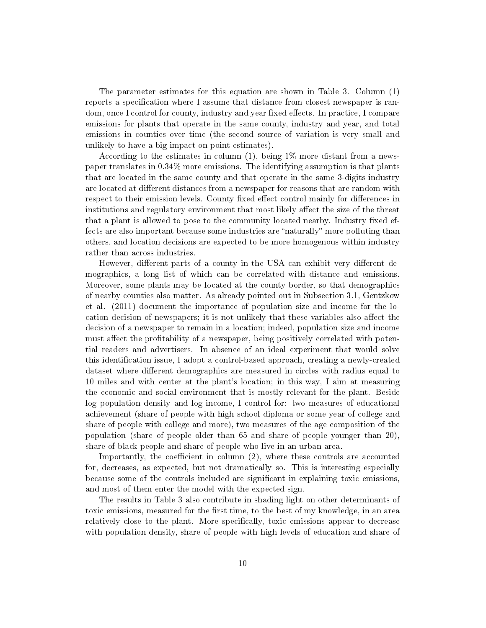The parameter estimates for this equation are shown in Table 3. Column (1) reports a specification where I assume that distance from closest newspaper is random, once I control for county, industry and year fixed effects. In practice, I compare emissions for plants that operate in the same county, industry and year, and total emissions in counties over time (the second source of variation is very small and unlikely to have a big impact on point estimates).

According to the estimates in column (1), being 1% more distant from a newspaper translates in 0.34% more emissions. The identifying assumption is that plants that are located in the same county and that operate in the same 3-digits industry are located at different distances from a newspaper for reasons that are random with respect to their emission levels. County fixed effect control mainly for differences in institutions and regulatory environment that most likely affect the size of the threat that a plant is allowed to pose to the community located nearby. Industry fixed effects are also important because some industries are "naturally" more polluting than others, and location decisions are expected to be more homogenous within industry rather than across industries.

However, different parts of a county in the USA can exhibit very different demographics, a long list of which can be correlated with distance and emissions. Moreover, some plants may be located at the county border, so that demographics of nearby counties also matter. As already pointed out in Subsection 3.1, Gentzkow et al. (2011) document the importance of population size and income for the location decision of newspapers; it is not unlikely that these variables also affect the decision of a newspaper to remain in a location; indeed, population size and income must affect the profitability of a newspaper, being positively correlated with potential readers and advertisers. In absence of an ideal experiment that would solve this identification issue, I adopt a control-based approach, creating a newly-created dataset where different demographics are measured in circles with radius equal to 10 miles and with center at the plant's location; in this way, I aim at measuring the economic and social environment that is mostly relevant for the plant. Beside log population density and log income, I control for: two measures of educational achievement (share of people with high school diploma or some year of college and share of people with college and more), two measures of the age composition of the population (share of people older than 65 and share of people younger than 20), share of black people and share of people who live in an urban area.

Importantly, the coefficient in column  $(2)$ , where these controls are accounted for, decreases, as expected, but not dramatically so. This is interesting especially because some of the controls included are signicant in explaining toxic emissions, and most of them enter the model with the expected sign.

The results in Table 3 also contribute in shading light on other determinants of toxic emissions, measured for the first time, to the best of my knowledge, in an area relatively close to the plant. More specifically, toxic emissions appear to decrease with population density, share of people with high levels of education and share of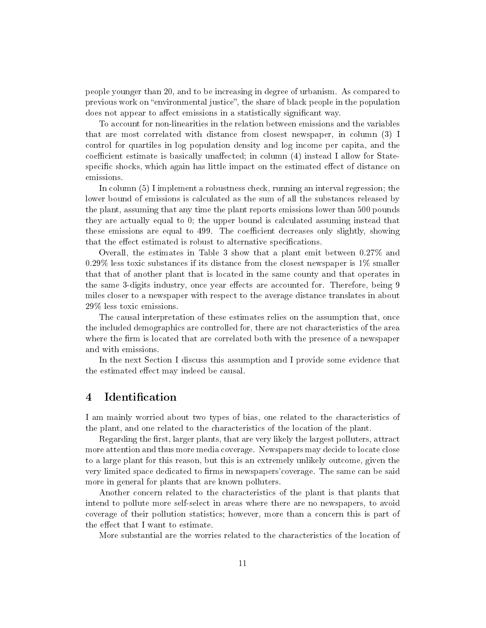people younger than 20, and to be increasing in degree of urbanism. As compared to previous work on "environmental justice", the share of black people in the population does not appear to affect emissions in a statistically significant way.

To account for non-linearities in the relation between emissions and the variables that are most correlated with distance from closest newspaper, in column (3) I control for quartiles in log population density and log income per capita, and the coefficient estimate is basically unaffected; in column  $(4)$  instead I allow for Statespecific shocks, which again has little impact on the estimated effect of distance on emissions.

In column (5) I implement a robustness check, running an interval regression; the lower bound of emissions is calculated as the sum of all the substances released by the plant, assuming that any time the plant reports emissions lower than 500 pounds they are actually equal to 0; the upper bound is calculated assuming instead that these emissions are equal to 499. The coefficient decreases only slightly, showing that the effect estimated is robust to alternative specifications.

Overall, the estimates in Table 3 show that a plant emit between 0.27% and 0.29% less toxic substances if its distance from the closest newspaper is 1% smaller that that of another plant that is located in the same county and that operates in the same 3-digits industry, once year effects are accounted for. Therefore, being 9 miles closer to a newspaper with respect to the average distance translates in about 29% less toxic emissions.

The causal interpretation of these estimates relies on the assumption that, once the included demographics are controlled for, there are not characteristics of the area where the firm is located that are correlated both with the presence of a newspaper and with emissions.

In the next Section I discuss this assumption and I provide some evidence that the estimated effect may indeed be causal.

## 4 Identification

I am mainly worried about two types of bias, one related to the characteristics of the plant, and one related to the characteristics of the location of the plant.

Regarding the first, larger plants, that are very likely the largest polluters, attract more attention and thus more media coverage. Newspapers may decide to locate close to a large plant for this reason, but this is an extremely unlikely outcome, given the very limited space dedicated to firms in newspapers' coverage. The same can be said more in general for plants that are known polluters.

Another concern related to the characteristics of the plant is that plants that intend to pollute more self-select in areas where there are no newspapers, to avoid coverage of their pollution statistics; however, more than a concern this is part of the effect that I want to estimate.

More substantial are the worries related to the characteristics of the location of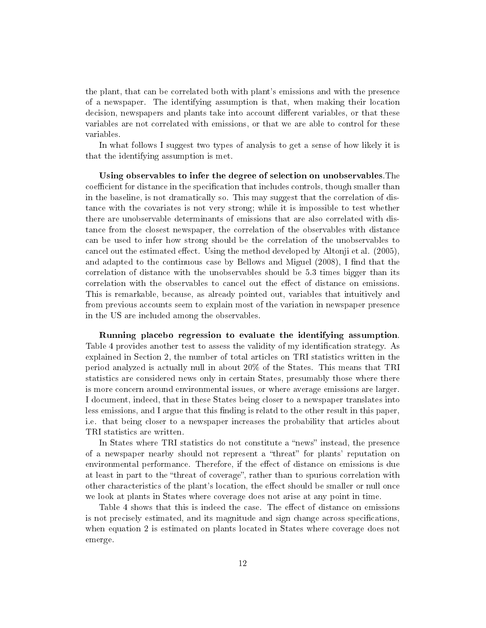the plant, that can be correlated both with plant's emissions and with the presence of a newspaper. The identifying assumption is that, when making their location decision, newspapers and plants take into account different variables, or that these variables are not correlated with emissions, or that we are able to control for these variables.

In what follows I suggest two types of analysis to get a sense of how likely it is that the identifying assumption is met.

Using observables to infer the degree of selection on unobservables.The coefficient for distance in the specification that includes controls, though smaller than in the baseline, is not dramatically so. This may suggest that the correlation of distance with the covariates is not very strong; while it is impossible to test whether there are unobservable determinants of emissions that are also correlated with distance from the closest newspaper, the correlation of the observables with distance can be used to infer how strong should be the correlation of the unobservables to cancel out the estimated effect. Using the method developed by Altonji et al. (2005), and adapted to the continuous case by Bellows and Miguel (2008), I find that the correlation of distance with the unobservables should be 5.3 times bigger than its correlation with the observables to cancel out the effect of distance on emissions. This is remarkable, because, as already pointed out, variables that intuitively and from previous accounts seem to explain most of the variation in newspaper presence in the US are included among the observables.

Running placebo regression to evaluate the identifying assumption. Table 4 provides another test to assess the validity of my identification strategy. As explained in Section 2, the number of total articles on TRI statistics written in the period analyzed is actually null in about 20% of the States. This means that TRI statistics are considered news only in certain States, presumably those where there is more concern around environmental issues, or where average emissions are larger. I document, indeed, that in these States being closer to a newspaper translates into less emissions, and I argue that this finding is relatd to the other result in this paper. i.e. that being closer to a newspaper increases the probability that articles about TRI statistics are written.

In States where TRI statistics do not constitute a "news" instead, the presence of a newspaper nearby should not represent a "threat" for plants' reputation on environmental performance. Therefore, if the effect of distance on emissions is due at least in part to the "threat of coverage", rather than to spurious correlation with other characteristics of the plant's location, the effect should be smaller or null once we look at plants in States where coverage does not arise at any point in time.

Table 4 shows that this is indeed the case. The effect of distance on emissions is not precisely estimated, and its magnitude and sign change across specifications, when equation 2 is estimated on plants located in States where coverage does not emerge.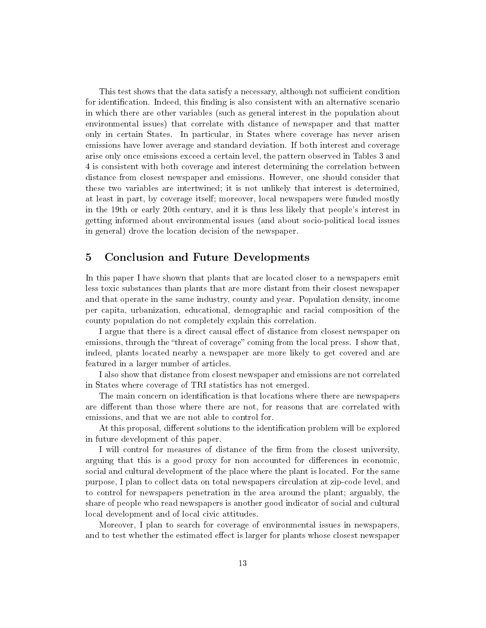This test shows that the data satisfy a necessary, although not sufficient condition for identification. Indeed, this finding is also consistent with an alternative scenario in which there are other variables (such as general interest in the population about environmental issues) that correlate with distance of newspaper and that matter only in certain States. In particular, in States where coverage has never arisen emissions have lower average and standard deviation. If both interest and coverage arise only once emissions exceed a certain level, the pattern observed in Tables 3 and 4 is consistent with both coverage and interest determining the correlation between distance from closest newspaper and emissions. However, one should consider that these two variables are intertwined; it is not unlikely that interest is determined, at least in part, by coverage itself; moreover, local newspapers were funded mostly in the 19th or early 20th century, and it is thus less likely that people's interest in getting informed about environmental issues (and about socio-political local issues in general) drove the location decision of the newspaper.

## 5 Conclusion and Future Developments

In this paper I have shown that plants that are located closer to a newspapers emit less toxic substances than plants that are more distant from their closest newspaper and that operate in the same industry, county and year. Population density, income per capita, urbanization, educational, demographic and racial composition of the county population do not completely explain this correlation.

I argue that there is a direct causal effect of distance from closest newspaper on emissions, through the "threat of coverage" coming from the local press. I show that, indeed, plants located nearby a newspaper are more likely to get covered and are featured in a larger number of articles.

I also show that distance from closest newspaper and emissions are not correlated in States where coverage of TRI statistics has not emerged.

The main concern on identification is that locations where there are newspapers are different than those where there are not, for reasons that are correlated with emissions, and that we are not able to control for.

At this proposal, different solutions to the identification problem will be explored in future development of this paper.

I will control for measures of distance of the firm from the closest university, arguing that this is a good proxy for non accounted for differences in economic, social and cultural development of the place where the plant is located. For the same purpose, I plan to collect data on total newspapers circulation at zip-code level, and to control for newspapers penetration in the area around the plant; arguably, the share of people who read newspapers is another good indicator of social and cultural local development and of local civic attitudes.

Moreover, I plan to search for coverage of environmental issues in newspapers, and to test whether the estimated effect is larger for plants whose closest newspaper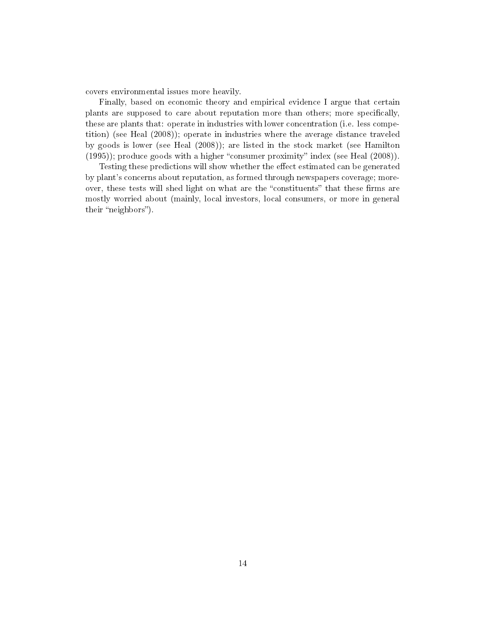covers environmental issues more heavily.

Finally, based on economic theory and empirical evidence I argue that certain plants are supposed to care about reputation more than others; more specifically, these are plants that: operate in industries with lower concentration (i.e. less competition) (see Heal (2008)); operate in industries where the average distance traveled by goods is lower (see Heal (2008)); are listed in the stock market (see Hamilton  $(1995)$ ; produce goods with a higher "consumer proximity" index (see Heal  $(2008)$ ).

Testing these predictions will show whether the effect estimated can be generated by plant's concerns about reputation, as formed through newspapers coverage; moreover, these tests will shed light on what are the "constituents" that these firms are mostly worried about (mainly, local investors, local consumers, or more in general their "neighbors").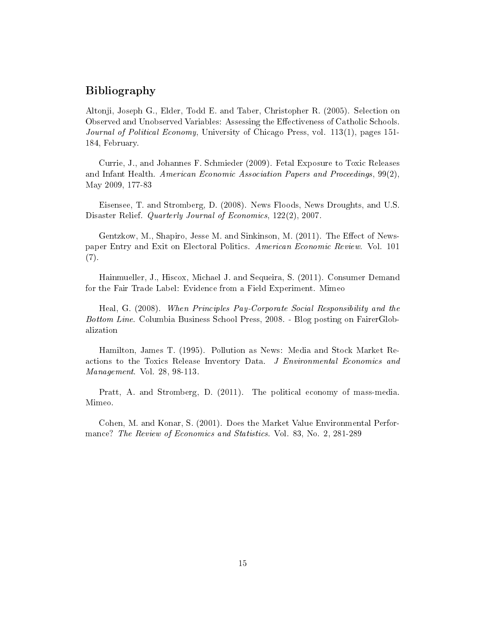## Bibliography

Altonji, Joseph G., Elder, Todd E. and Taber, Christopher R. (2005). Selection on Observed and Unobserved Variables: Assessing the Effectiveness of Catholic Schools. Journal of Political Economy, University of Chicago Press, vol. 113(1), pages 151-184, February.

Currie, J., and Johannes F. Schmieder (2009). Fetal Exposure to Toxic Releases and Infant Health. American Economic Association Papers and Proceedings,  $99(2)$ , May 2009, 177-83

Eisensee, T. and Stromberg, D. (2008). News Floods, News Droughts, and U.S. Disaster Relief. *Quarterly Journal of Economics*, 122(2), 2007.

Gentzkow, M., Shapiro, Jesse M. and Sinkinson, M.  $(2011)$ . The Effect of Newspaper Entry and Exit on Electoral Politics. American Economic Review. Vol. 101 (7).

Hainmueller, J., Hiscox, Michael J. and Sequeira, S. (2011). Consumer Demand for the Fair Trade Label: Evidence from a Field Experiment. Mimeo

Heal, G. (2008). When Principles Pay-Corporate Social Responsibility and the Bottom Line. Columbia Business School Press, 2008. - Blog posting on FairerGlobalization

Hamilton, James T. (1995). Pollution as News: Media and Stock Market Reactions to the Toxics Release Inventory Data. J Environmental Economics and Management. Vol. 28, 98-113.

Pratt, A. and Stromberg, D. (2011). The political economy of mass-media. Mimeo.

Cohen, M. and Konar, S. (2001). Does the Market Value Environmental Performance? The Review of Economics and Statistics. Vol. 83, No. 2, 281-289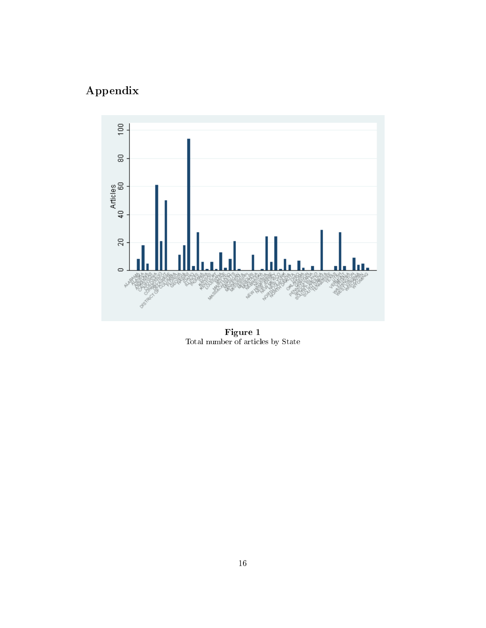# Appendix



Figure 1 Total number of articles by State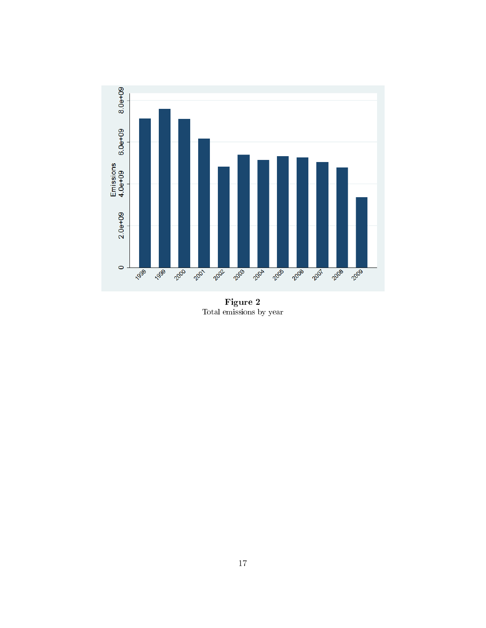

Figure 2 Total emissions by year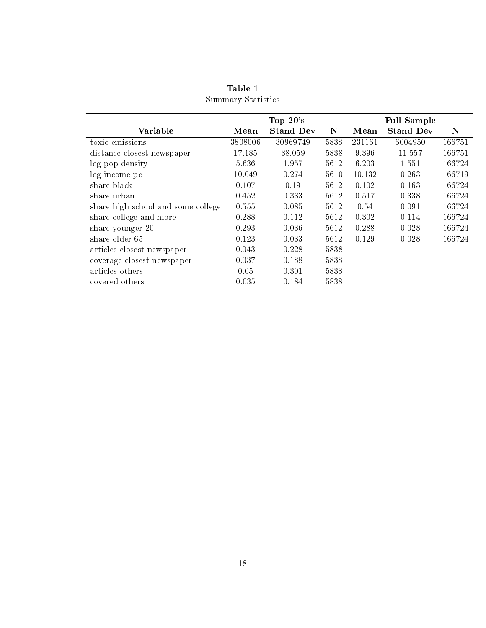|                                    |         | Top $20$ 's      |             |        | <b>Full Sample</b> |             |
|------------------------------------|---------|------------------|-------------|--------|--------------------|-------------|
| Variable                           | Mean    | <b>Stand Dev</b> | $\mathbf N$ | Mean   | <b>Stand Dev</b>   | $\mathbf N$ |
| toxic emissions                    | 3808006 | 30969749         | 5838        | 231161 | 6004950            | 166751      |
| distance closest newspaper         | 17.185  | 38.059           | 5838        | 9.396  | 11.557             | 166751      |
| log pop density                    | 5.636   | 1.957            | 5612        | 6.203  | 1.551              | 166724      |
| log income pc                      | 10.049  | 0.274            | 5610        | 10.132 | 0.263              | 166719      |
| share black                        | 0.107   | 0.19             | 5612        | 0.102  | 0.163              | 166724      |
| share urban                        | 0.452   | 0.333            | 5612        | 0.517  | 0.338              | 166724      |
| share high school and some college | 0.555   | 0.085            | 5612        | 0.54   | 0.091              | 166724      |
| share college and more             | 0.288   | 0.112            | 5612        | 0.302  | 0.114              | 166724      |
| share younger 20                   | 0.293   | 0.036            | 5612        | 0.288  | 0.028              | 166724      |
| share older 65                     | 0.123   | 0.033            | 5612        | 0.129  | 0.028              | 166724      |
| articles closest newspaper         | 0.043   | 0.228            | 5838        |        |                    |             |
| coverage closest newspaper         | 0.037   | 0.188            | 5838        |        |                    |             |
| articles others                    | 0.05    | 0.301            | 5838        |        |                    |             |
| covered others                     | 0.035   | 0.184            | 5838        |        |                    |             |

Table 1 Summary Statistics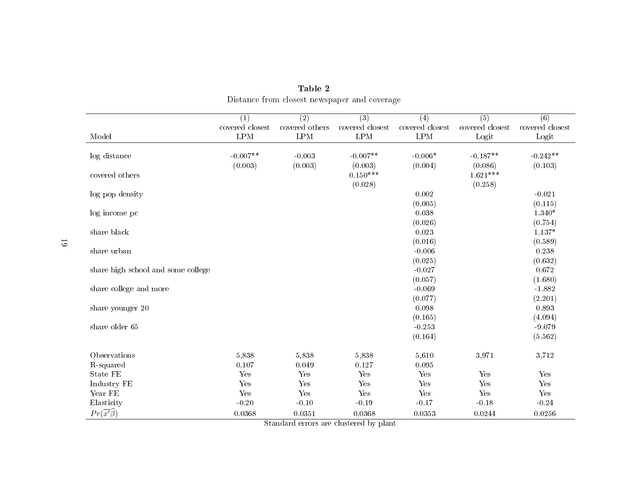|                                    | (1)                  | $\overline{(2)}$ | $\overline{(3)}$ | $\overline{(4)}$ | $\overline{(5)}$ | $\overline{(6)}$ |
|------------------------------------|----------------------|------------------|------------------|------------------|------------------|------------------|
|                                    | covered closest      | covered others   | covered closest  | covered closest  | covered closest  | covered closest  |
| Model                              | $\operatorname{LPM}$ | LPM              | $\mathrm{LPM}$   | $\mathrm{LPM}$   | Logit            | Logit            |
|                                    |                      |                  |                  |                  |                  |                  |
| log distance                       | $-0.007**$           | $-0.003$         | $-0.007**$       | $-0.006*$        | $-0.187**$       | $-0.242**$       |
|                                    | (0.003)              | (0.003)          | (0.003)          | (0.004)          | (0.086)          | (0.103)          |
| covered others                     |                      |                  | $0.150***$       |                  | $1.621***$       |                  |
|                                    |                      |                  | (0.028)          |                  | (0.258)          |                  |
| log pop density                    |                      |                  |                  | 0.002            |                  | $-0.021$         |
|                                    |                      |                  |                  | (0.005)          |                  | (0.115)          |
| log income pc                      |                      |                  |                  | 0.038            |                  | $1.340*$         |
|                                    |                      |                  |                  | (0.026)          |                  | (0.754)          |
| share black                        |                      |                  |                  | 0.023            |                  | $1.137*$         |
|                                    |                      |                  |                  | (0.016)          |                  | (0.589)          |
| share urban                        |                      |                  |                  | $-0.006$         |                  | 0.238            |
|                                    |                      |                  |                  | (0.025)          |                  | (0.632)          |
| share high school and some college |                      |                  |                  | $-0.027$         |                  | 0.672            |
|                                    |                      |                  |                  | (0.057)          |                  | (1.680)          |
| share college and more             |                      |                  |                  | $-0.069$         |                  | $-1.882$         |
|                                    |                      |                  |                  | (0.077)          |                  | (2.201)          |
| share younger 20                   |                      |                  |                  | 0.098            |                  | 0.893            |
|                                    |                      |                  |                  | (0.165)          |                  | (4.094)          |
| share older 65                     |                      |                  |                  | $-0.253$         |                  | $-9.079$         |
|                                    |                      |                  |                  | (0.164)          |                  | (5.562)          |
|                                    |                      |                  |                  |                  |                  |                  |
| Observations                       | 5,838                | 5,838            | 5,838            | 5,610            | 3,971            | 3,712            |
| R-squared                          | 0.107                | 0.049            | 0.127            | 0.095            |                  |                  |
| <b>State FE</b>                    | Yes                  | Yes              | Yes              | Yes              | Yes              | Yes              |
| Industry FE                        | Yes                  | Yes              | Yes              | Yes              | Yes              | Yes              |
| Year FE                            | Yes                  | Yes              | Yes              | Yes              | Yes              | Yes              |
| Elasticity                         | $-0.20$              | $-0.10$          | $-0.19$          | $-0.17$          | $-0.18$          | $-0.24$          |
| $Pr(\overline{x'}\widehat{\beta})$ | 0.0368               | 0.0351           | 0.0368           | 0.0353           | 0.0244           | 0.0256           |

Table 2Distance from closest newspaper and coverage

Standard errors are clustered by <sup>p</sup>lant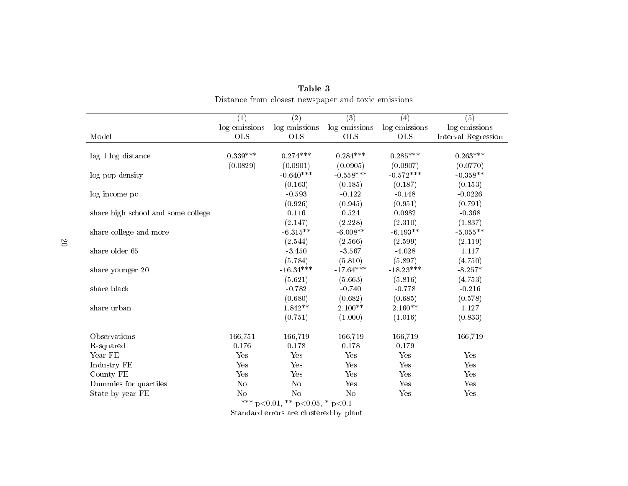|                                        | (1)            | $\overline{(2)}$                   | $\overline{(3)}$ | (4)           | $\overline{(5)}$    |
|----------------------------------------|----------------|------------------------------------|------------------|---------------|---------------------|
|                                        | log emissions  | log emissions                      | log emissions    | log emissions | log emissions       |
| Model                                  | <b>OLS</b>     | <b>OLS</b>                         | <b>OLS</b>       | <b>OLS</b>    | Interval Regression |
|                                        | $0.339***$     | $0.274***$                         | $0.284***$       | $0.285***$    | $0.263***$          |
| lag 1 log distance                     | (0.0829)       | (0.0901)                           | (0.0905)         | (0.0907)      | (0.0770)            |
|                                        |                | $-0.640***$                        | $-0.558***$      | $-0.572***$   | $-0.358**$          |
| log pop density                        |                |                                    |                  |               |                     |
|                                        |                | (0.163)                            | (0.185)          | (0.187)       | (0.153)             |
| log income pc                          |                | $-0.593$                           | $-0.122$         | $-0.148$      | $-0.0226$           |
|                                        |                | (0.926)                            | (0.945)          | (0.951)       | (0.791)             |
| share high school and some college     |                | 0.116                              | 0.524            | 0.0982        | $-0.368$            |
|                                        |                | (2.147)                            | (2.228)          | (2.310)       | (1.837)             |
| share college and more                 |                | $-6.315**$                         | $-6.008**$       | $-6.193**$    | $-5.055**$          |
|                                        |                | (2.544)                            | (2.566)          | (2.599)       | (2.119)             |
| share older 65                         |                | $-3.450$                           | $-3.567$         | $-4.028$      | 1.117               |
|                                        |                | (5.784)                            | (5.810)          | (5.897)       | (4.750)             |
| share younger 20                       |                | $-16.34***$                        | $-17.64***$      | $-18.23***$   | $-8.257*$           |
|                                        |                | (5.621)                            | (5.663)          | (5.816)       | (4.753)             |
| share black                            |                | $-0.782$                           | $-0.740$         | $-0.778$      | $-0.216$            |
|                                        |                | (0.680)                            | (0.682)          | (0.685)       | (0.578)             |
| share urban                            |                | $1.842**$                          | $2.100**$        | $2.160**$     | 1.127               |
|                                        |                | (0.751)                            | (1.000)          | (1.016)       | (0.833)             |
| Observations                           | 166,751        | 166,719                            | 166,719          | 166,719       | 166,719             |
| R-squared                              | 0.176          | 0.178                              | 0.178            | 0.179         |                     |
| Year FE                                | Yes            | Yes                                | Yes              | Yes           | Yes                 |
| Industry FE                            | Yes            | Yes                                | Yes              | Yes           | Yes                 |
| County FE                              | Yes            | Yes                                | Yes              | Yes           | Yes                 |
| Dummies for quartiles                  | N <sub>o</sub> | No                                 | Yes              | Yes           | Yes                 |
| State-by-year FE                       | N <sub>o</sub> | No                                 | N <sub>o</sub>   | Yes           | Yes                 |
|                                        | $***$          | $p<0.01$ , ** $p<0.05$ , * $p<0.1$ |                  |               |                     |
|                                        |                |                                    |                  |               |                     |
| Standard errors are clustered by plant |                |                                    |                  |               |                     |

|                                                     | Table 3 |  |
|-----------------------------------------------------|---------|--|
| Distance from closest newspaper and toxic emissions |         |  |